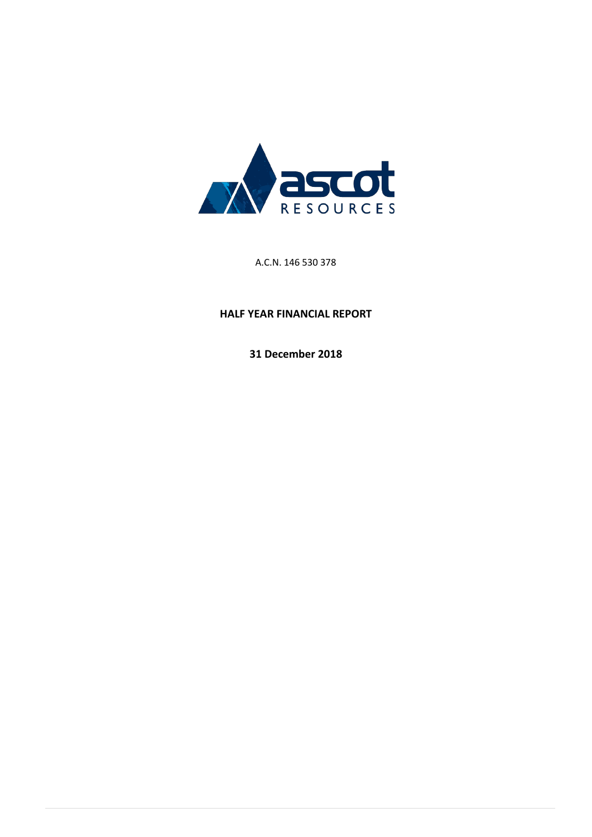

A.C.N. 146 530 378

# **HALF YEAR FINANCIAL REPORT**

**31 December 2018**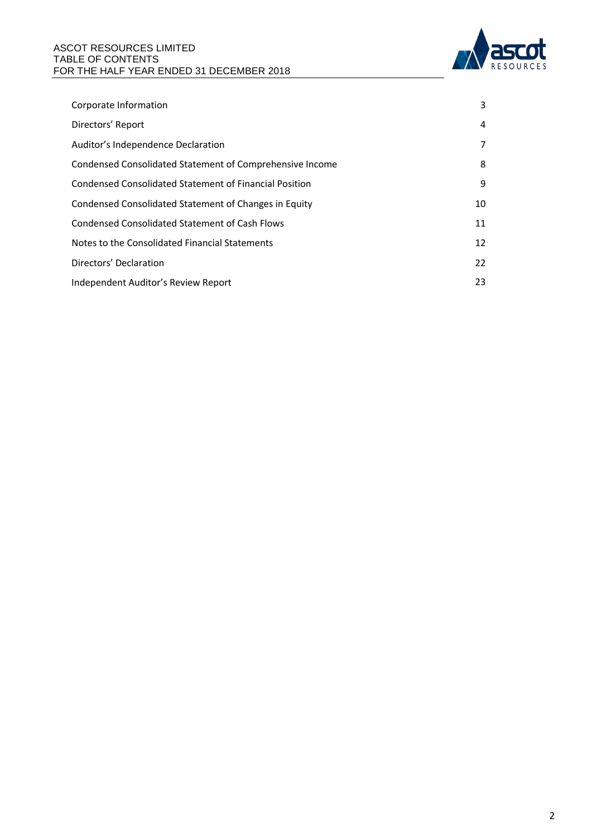

| 3  |
|----|
| 4  |
| 7  |
| 8  |
| 9  |
| 10 |
| 11 |
| 12 |
| 22 |
| 23 |
|    |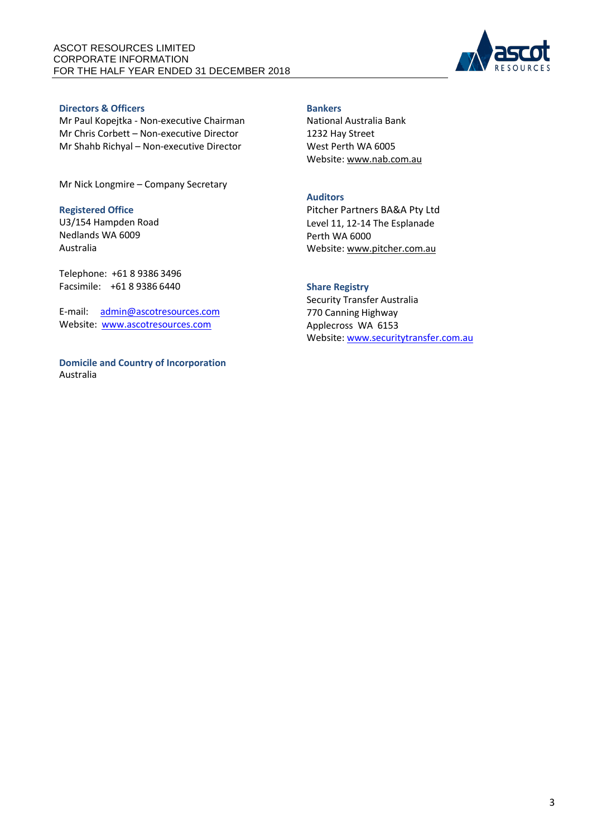

#### **Directors & Officers**

Mr Paul Kopejtka - Non-executive Chairman Mr Chris Corbett – Non-executive Director Mr Shahb Richyal – Non-executive Director

Mr Nick Longmire – Company Secretary

### **Registered Office**

U3/154 Hampden Road Nedlands WA 6009 Australia

Telephone: +61 8 9386 3496 Facsimile: +61 8 9386 6440

E-mail: [admin@ascotresources.com](mailto:admin@ascotresources.com) Website: [www.ascotresources.com](http://www.ascotresources.com/)

**Domicile and Country of Incorporation** Australia

#### **Bankers**

National Australia Bank 1232 Hay Street West Perth WA 6005 Website: [www.nab.com.au](http://www.nab.com.au/)

# **Auditors**

Pitcher Partners BA&A Pty Ltd Level 11, 12-14 The Esplanade Perth WA 6000 Website: [www.pitcher.com.au](http://www.pitcher.com.au/)

# **Share Registry**

Security Transfer Australia 770 Canning Highway Applecross WA 6153 Website: [www.securitytransfer.com.au](http://www.securitytransfer.com.au/)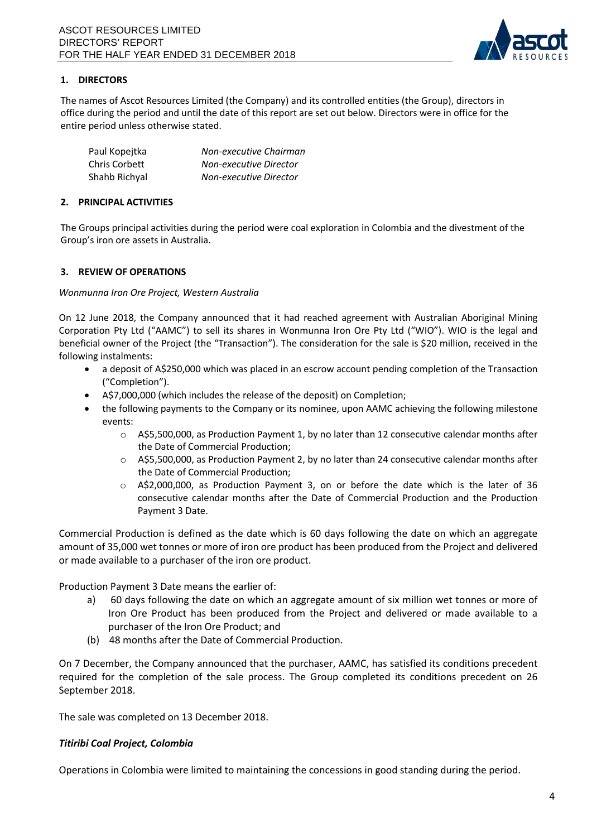

## **1. DIRECTORS**

The names of Ascot Resources Limited (the Company) and its controlled entities (the Group), directors in office during the period and until the date of this report are set out below. Directors were in office for the entire period unless otherwise stated.

| Paul Kopejtka | Non-executive Chairman |
|---------------|------------------------|
| Chris Corbett | Non-executive Director |
| Shahb Richyal | Non-executive Director |

### **2. PRINCIPAL ACTIVITIES**

The Groups principal activities during the period were coal exploration in Colombia and the divestment of the Group's iron ore assets in Australia.

#### **3. REVIEW OF OPERATIONS**

#### *Wonmunna Iron Ore Project, Western Australia*

On 12 June 2018, the Company announced that it had reached agreement with Australian Aboriginal Mining Corporation Pty Ltd ("AAMC") to sell its shares in Wonmunna Iron Ore Pty Ltd ("WIO"). WIO is the legal and beneficial owner of the Project (the "Transaction"). The consideration for the sale is \$20 million, received in the following instalments:

- a deposit of A\$250,000 which was placed in an escrow account pending completion of the Transaction ("Completion").
- A\$7,000,000 (which includes the release of the deposit) on Completion;
- the following payments to the Company or its nominee, upon AAMC achieving the following milestone events:
	- $\circ$  A\$5,500,000, as Production Payment 1, by no later than 12 consecutive calendar months after the Date of Commercial Production;
	- $\circ$  A\$5,500,000, as Production Payment 2, by no later than 24 consecutive calendar months after the Date of Commercial Production;
	- $\circ$  A\$2,000,000, as Production Payment 3, on or before the date which is the later of 36 consecutive calendar months after the Date of Commercial Production and the Production Payment 3 Date.

Commercial Production is defined as the date which is 60 days following the date on which an aggregate amount of 35,000 wet tonnes or more of iron ore product has been produced from the Project and delivered or made available to a purchaser of the iron ore product.

Production Payment 3 Date means the earlier of:

- a) 60 days following the date on which an aggregate amount of six million wet tonnes or more of Iron Ore Product has been produced from the Project and delivered or made available to a purchaser of the Iron Ore Product; and
- (b) 48 months after the Date of Commercial Production.

On 7 December, the Company announced that the purchaser, AAMC, has satisfied its conditions precedent required for the completion of the sale process. The Group completed its conditions precedent on 26 September 2018.

The sale was completed on 13 December 2018.

### *Titiribi Coal Project, Colombia*

Operations in Colombia were limited to maintaining the concessions in good standing during the period.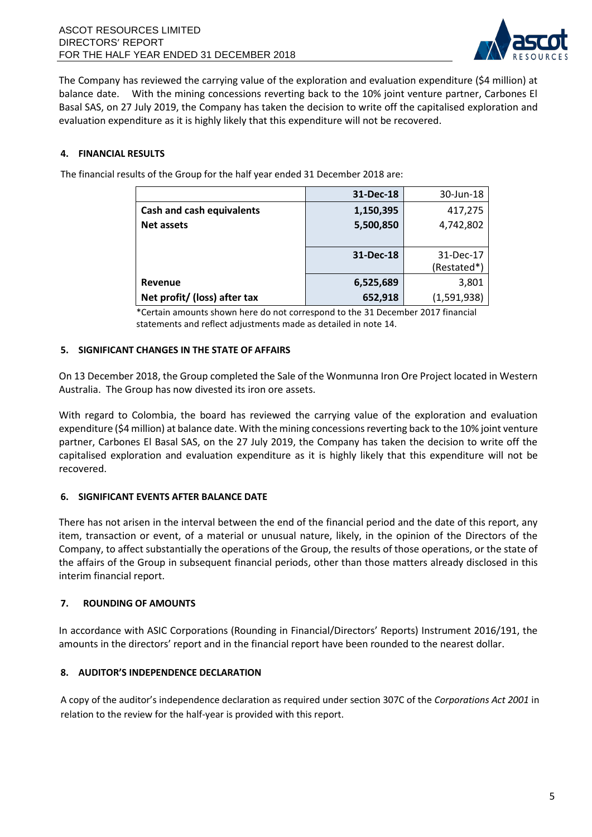

The Company has reviewed the carrying value of the exploration and evaluation expenditure (\$4 million) at balance date. With the mining concessions reverting back to the 10% joint venture partner, Carbones El Basal SAS, on 27 July 2019, the Company has taken the decision to write off the capitalised exploration and evaluation expenditure as it is highly likely that this expenditure will not be recovered.

# **4. FINANCIAL RESULTS**

The financial results of the Group for the half year ended 31 December 2018 are:

|                                  | 31-Dec-18 | 30-Jun-18   |
|----------------------------------|-----------|-------------|
| <b>Cash and cash equivalents</b> | 1,150,395 | 417,275     |
| <b>Net assets</b>                | 5,500,850 | 4,742,802   |
|                                  |           |             |
|                                  | 31-Dec-18 | 31-Dec-17   |
|                                  |           | (Restated*) |
| Revenue                          | 6,525,689 | 3,801       |
| Net profit/ (loss) after tax     | 652,918   | (1,591,938) |

\*Certain amounts shown here do not correspond to the 31 December 2017 financial statements and reflect adjustments made as detailed in note 14.

# **5. SIGNIFICANT CHANGES IN THE STATE OF AFFAIRS**

On 13 December 2018, the Group completed the Sale of the Wonmunna Iron Ore Project located in Western Australia. The Group has now divested its iron ore assets.

With regard to Colombia, the board has reviewed the carrying value of the exploration and evaluation expenditure (\$4 million) at balance date. With the mining concessions reverting back to the 10% joint venture partner, Carbones El Basal SAS, on the 27 July 2019, the Company has taken the decision to write off the capitalised exploration and evaluation expenditure as it is highly likely that this expenditure will not be recovered.

# **6. SIGNIFICANT EVENTS AFTER BALANCE DATE**

There has not arisen in the interval between the end of the financial period and the date of this report, any item, transaction or event, of a material or unusual nature, likely, in the opinion of the Directors of the Company, to affect substantially the operations of the Group, the results of those operations, or the state of the affairs of the Group in subsequent financial periods, other than those matters already disclosed in this interim financial report.

# **7. ROUNDING OF AMOUNTS**

In accordance with ASIC Corporations (Rounding in Financial/Directors' Reports) Instrument 2016/191, the amounts in the directors' report and in the financial report have been rounded to the nearest dollar.

# **8. AUDITOR'S INDEPENDENCE DECLARATION**

A copy of the auditor's independence declaration as required under section 307C of the *Corporations Act 2001* in relation to the review for the half-year is provided with this report.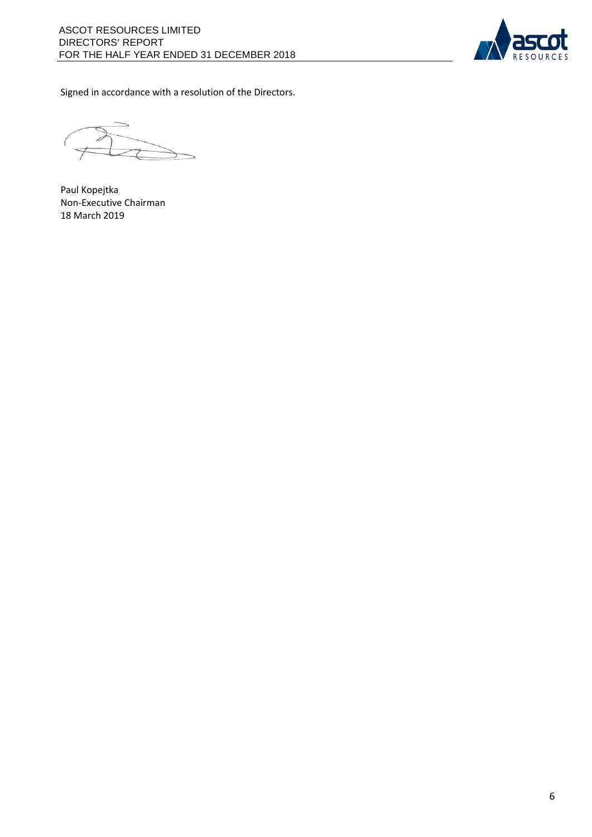

Signed in accordance with a resolution of the Directors.

Paul Kopejtka Non-Executive Chairman 18 March 2019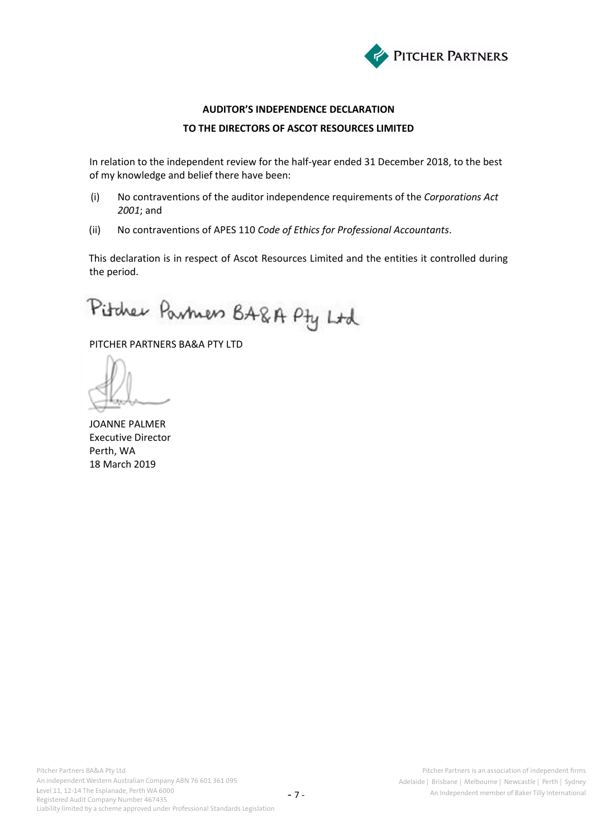

### **AUDITOR'S INDEPENDENCE DECLARATION**

#### **TO THE DIRECTORS OF ASCOT RESOURCES LIMITED**

In relation to the independent review for the half-year ended 31 December 2018, to the best of my knowledge and belief there have been:

- (i) No contraventions of the auditor independence requirements of the *Corporations Act 2001*; and
- (ii) No contraventions of APES 110 *Code of Ethics for Professional Accountants*.

This declaration is in respect of Ascot Resources Limited and the entities it controlled during the period.

Pitcher Partners BA&A Pty Ltd

PITCHER PARTNERS BA&A PTY LTD

JOANNE PALMER Executive Director Perth, WA 18 March 2019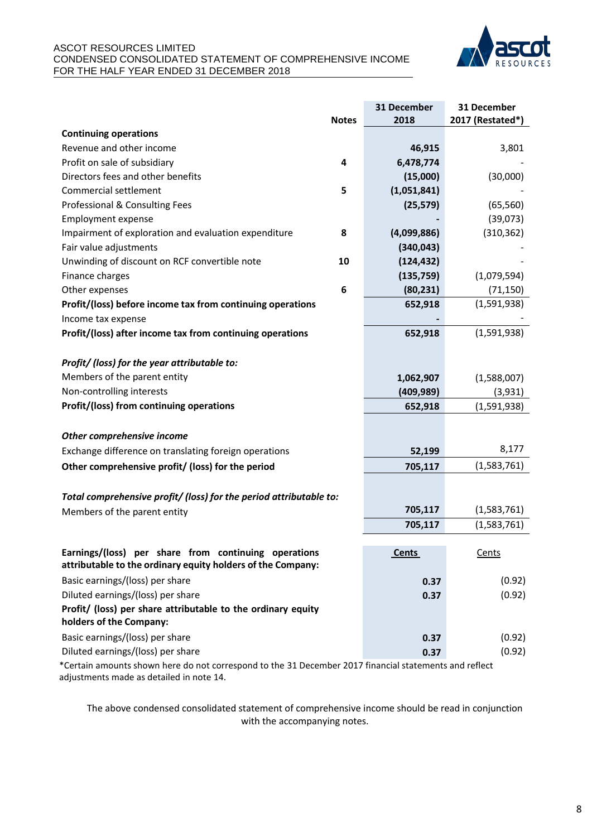### ASCOT RESOURCES LIMITED CONDENSED CONSOLIDATED STATEMENT OF COMPREHENSIVE INCOME FOR THE HALF YEAR ENDED 31 DECEMBER 2018



|                                                                                                                     |              | 31 December  | 31 December      |
|---------------------------------------------------------------------------------------------------------------------|--------------|--------------|------------------|
|                                                                                                                     | <b>Notes</b> | 2018         | 2017 (Restated*) |
| <b>Continuing operations</b>                                                                                        |              |              |                  |
| Revenue and other income                                                                                            |              | 46,915       | 3,801            |
| Profit on sale of subsidiary                                                                                        | 4            | 6,478,774    |                  |
| Directors fees and other benefits                                                                                   |              | (15,000)     | (30,000)         |
| Commercial settlement                                                                                               | 5            | (1,051,841)  |                  |
| Professional & Consulting Fees                                                                                      |              | (25, 579)    | (65, 560)        |
| <b>Employment expense</b>                                                                                           |              |              | (39,073)         |
| Impairment of exploration and evaluation expenditure                                                                | 8            | (4,099,886)  | (310, 362)       |
| Fair value adjustments                                                                                              |              | (340, 043)   |                  |
| Unwinding of discount on RCF convertible note                                                                       | 10           | (124, 432)   |                  |
| Finance charges                                                                                                     |              | (135, 759)   | (1,079,594)      |
| Other expenses                                                                                                      | 6            | (80, 231)    | (71, 150)        |
| Profit/(loss) before income tax from continuing operations                                                          |              | 652,918      | (1,591,938)      |
| Income tax expense                                                                                                  |              |              |                  |
| Profit/(loss) after income tax from continuing operations                                                           |              | 652,918      | (1,591,938)      |
|                                                                                                                     |              |              |                  |
| Profit/ (loss) for the year attributable to:                                                                        |              |              |                  |
| Members of the parent entity                                                                                        |              | 1,062,907    | (1,588,007)      |
| Non-controlling interests                                                                                           |              | (409, 989)   | (3,931)          |
| Profit/(loss) from continuing operations                                                                            |              | 652,918      | (1,591,938)      |
|                                                                                                                     |              |              |                  |
| Other comprehensive income                                                                                          |              |              |                  |
| Exchange difference on translating foreign operations                                                               |              | 52,199       | 8,177            |
| Other comprehensive profit/ (loss) for the period                                                                   |              | 705,117      | (1,583,761)      |
|                                                                                                                     |              |              |                  |
| Total comprehensive profit/ (loss) for the period attributable to:                                                  |              |              |                  |
| Members of the parent entity                                                                                        |              | 705,117      | (1,583,761)      |
|                                                                                                                     |              | 705,117      | (1,583,761)      |
|                                                                                                                     |              |              |                  |
| Earnings/(loss) per share from continuing operations<br>attributable to the ordinary equity holders of the Company: |              | <b>Cents</b> | Cents            |
| Basic earnings/(loss) per share                                                                                     |              | 0.37         | (0.92)           |
| Diluted earnings/(loss) per share                                                                                   |              | 0.37         | (0.92)           |
| Profit/ (loss) per share attributable to the ordinary equity                                                        |              |              |                  |
| holders of the Company:                                                                                             |              |              |                  |
| Basic earnings/(loss) per share                                                                                     |              | 0.37         | (0.92)           |
| Diluted earnings/(loss) per share                                                                                   |              | 0.37         | (0.92)           |
|                                                                                                                     |              |              |                  |

\*Certain amounts shown here do not correspond to the 31 December 2017 financial statements and reflect adjustments made as detailed in note 14.

The above condensed consolidated statement of comprehensive income should be read in conjunction with the accompanying notes.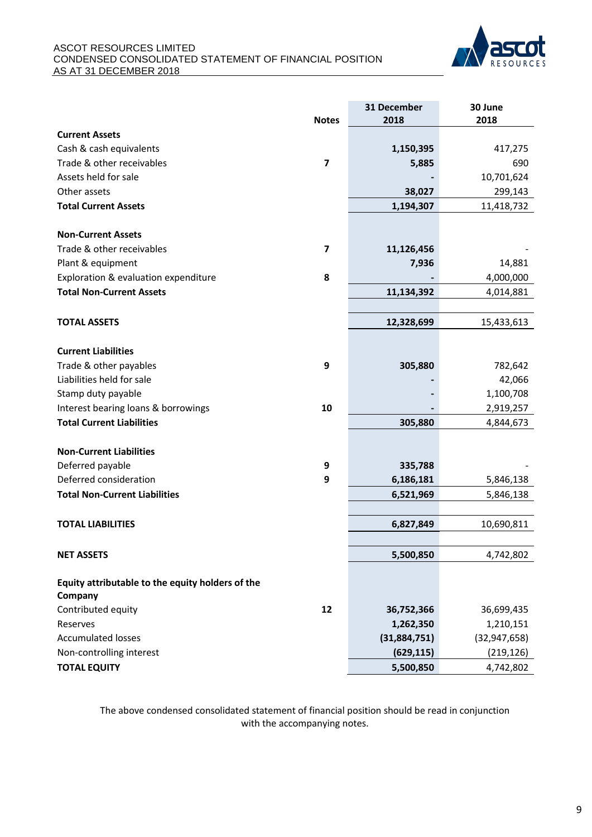#### ASCOT RESOURCES LIMITED CONDENSED CONSOLIDATED STATEMENT OF FINANCIAL POSITION AS AT 31 DECEMBER 2018



|                                                             |              | 31 December  | 30 June        |
|-------------------------------------------------------------|--------------|--------------|----------------|
|                                                             | <b>Notes</b> | 2018         | 2018           |
| <b>Current Assets</b>                                       |              |              |                |
| Cash & cash equivalents                                     |              | 1,150,395    | 417,275        |
| Trade & other receivables                                   | 7            | 5,885        | 690            |
| Assets held for sale                                        |              |              | 10,701,624     |
| Other assets                                                |              | 38,027       | 299,143        |
| <b>Total Current Assets</b>                                 |              | 1,194,307    | 11,418,732     |
| <b>Non-Current Assets</b>                                   |              |              |                |
| Trade & other receivables                                   | 7            | 11,126,456   |                |
| Plant & equipment                                           |              | 7,936        | 14,881         |
| Exploration & evaluation expenditure                        | 8            |              | 4,000,000      |
| <b>Total Non-Current Assets</b>                             |              | 11,134,392   | 4,014,881      |
| <b>TOTAL ASSETS</b>                                         |              | 12,328,699   | 15,433,613     |
|                                                             |              |              |                |
| <b>Current Liabilities</b>                                  |              |              |                |
| Trade & other payables                                      | 9            | 305,880      | 782,642        |
| Liabilities held for sale                                   |              |              | 42,066         |
| Stamp duty payable                                          |              |              | 1,100,708      |
| Interest bearing loans & borrowings                         | 10           |              | 2,919,257      |
| <b>Total Current Liabilities</b>                            |              | 305,880      | 4,844,673      |
| <b>Non-Current Liabilities</b>                              |              |              |                |
| Deferred payable                                            | 9            | 335,788      |                |
| Deferred consideration                                      | 9            | 6,186,181    | 5,846,138      |
| <b>Total Non-Current Liabilities</b>                        |              | 6,521,969    | 5,846,138      |
|                                                             |              |              |                |
| <b>TOTAL LIABILITIES</b>                                    |              | 6,827,849    | 10,690,811     |
| <b>NET ASSETS</b>                                           |              | 5,500,850    | 4,742,802      |
|                                                             |              |              |                |
| Equity attributable to the equity holders of the<br>Company |              |              |                |
| Contributed equity                                          | 12           | 36,752,366   | 36,699,435     |
| Reserves                                                    |              | 1,262,350    | 1,210,151      |
| <b>Accumulated losses</b>                                   |              | (31,884,751) | (32, 947, 658) |
| Non-controlling interest                                    |              | (629, 115)   | (219, 126)     |
| <b>TOTAL EQUITY</b>                                         |              | 5,500,850    | 4,742,802      |

The above condensed consolidated statement of financial position should be read in conjunction with the accompanying notes.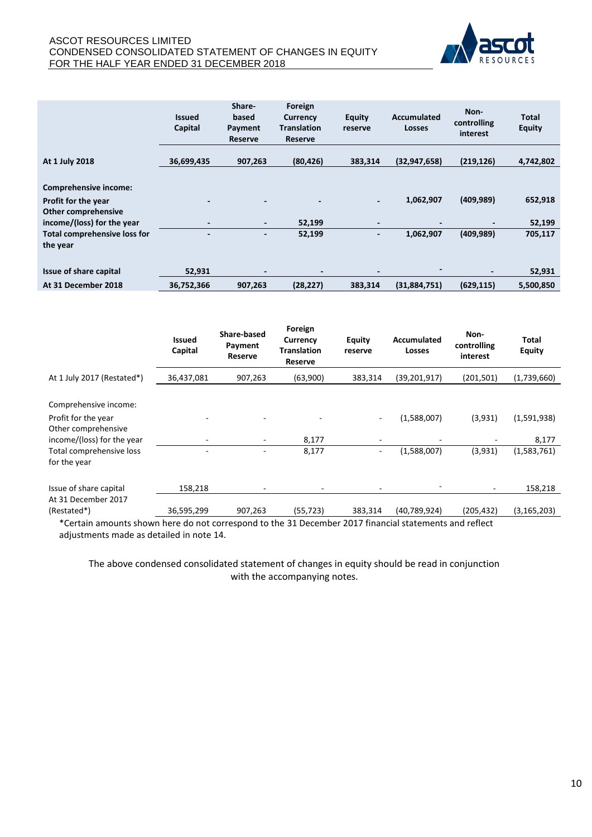

|                                                   | <b>Issued</b><br>Capital | Share-<br>based<br>Payment<br><b>Reserve</b> | Foreign<br>Currency<br>Translation<br><b>Reserve</b> | <b>Equity</b><br>reserve     | <b>Accumulated</b><br><b>Losses</b> | Non-<br>controlling<br>interest | <b>Total</b><br><b>Equity</b> |
|---------------------------------------------------|--------------------------|----------------------------------------------|------------------------------------------------------|------------------------------|-------------------------------------|---------------------------------|-------------------------------|
| At 1 July 2018                                    | 36,699,435               | 907,263                                      | (80, 426)                                            | 383,314                      | (32, 947, 658)                      | (219, 126)                      | 4,742,802                     |
| <b>Comprehensive income:</b>                      |                          |                                              |                                                      |                              |                                     |                                 |                               |
| Profit for the year<br><b>Other comprehensive</b> |                          |                                              |                                                      |                              | 1,062,907                           | (409, 989)                      | 652,918                       |
| income/(loss) for the year                        |                          | $\overline{\phantom{a}}$                     | 52,199                                               | $\qquad \qquad \blacksquare$ | -                                   |                                 | 52,199                        |
| <b>Total comprehensive loss for</b><br>the year   |                          | $\overline{\phantom{0}}$                     | 52,199                                               | $\overline{\phantom{a}}$     | 1,062,907                           | (409, 989)                      | 705,117                       |
| Issue of share capital                            | 52,931                   | $\qquad \qquad \blacksquare$                 | $\overline{\phantom{a}}$                             | $\overline{\phantom{a}}$     |                                     | ۰.                              | 52,931                        |
| At 31 December 2018                               | 36,752,366               | 907,263                                      | (28, 227)                                            | 383,314                      | (31,884,751)                        | (629, 115)                      | 5,500,850                     |

|                                                                                                                                               | <b>Issued</b><br>Capital | Share-based<br>Payment<br><b>Reserve</b> | Foreign<br>Currency<br><b>Translation</b><br>Reserve | <b>Equity</b><br>reserve           | <b>Accumulated</b><br><b>Losses</b> | Non-<br>controlling<br>interest                | Total<br><b>Equity</b>              |
|-----------------------------------------------------------------------------------------------------------------------------------------------|--------------------------|------------------------------------------|------------------------------------------------------|------------------------------------|-------------------------------------|------------------------------------------------|-------------------------------------|
| At 1 July 2017 (Restated*)                                                                                                                    | 36,437,081               | 907,263                                  | (63,900)                                             | 383,314                            | (39, 201, 917)                      | (201, 501)                                     | (1,739,660)                         |
| Comprehensive income:<br>Profit for the year<br>Other comprehensive<br>income/(loss) for the year<br>Total comprehensive loss<br>for the year | -<br>٠                   | ۰                                        | 8,177<br>8,177                                       | $\overline{\phantom{m}}$<br>٠<br>٠ | (1,588,007)<br>۰<br>(1,588,007)     | (3,931)<br>$\overline{\phantom{a}}$<br>(3,931) | (1,591,938)<br>8,177<br>(1,583,761) |
| Issue of share capital<br>At 31 December 2017<br>(Restated*)                                                                                  | 158,218<br>36,595,299    | 907,263                                  | (55, 723)                                            | ۰<br>383,314                       | (40, 789, 924)                      | (205, 432)                                     | 158,218<br>(3, 165, 203)            |

\*Certain amounts shown here do not correspond to the 31 December 2017 financial statements and reflect adjustments made as detailed in note 14.

The above condensed consolidated statement of changes in equity should be read in conjunction with the accompanying notes.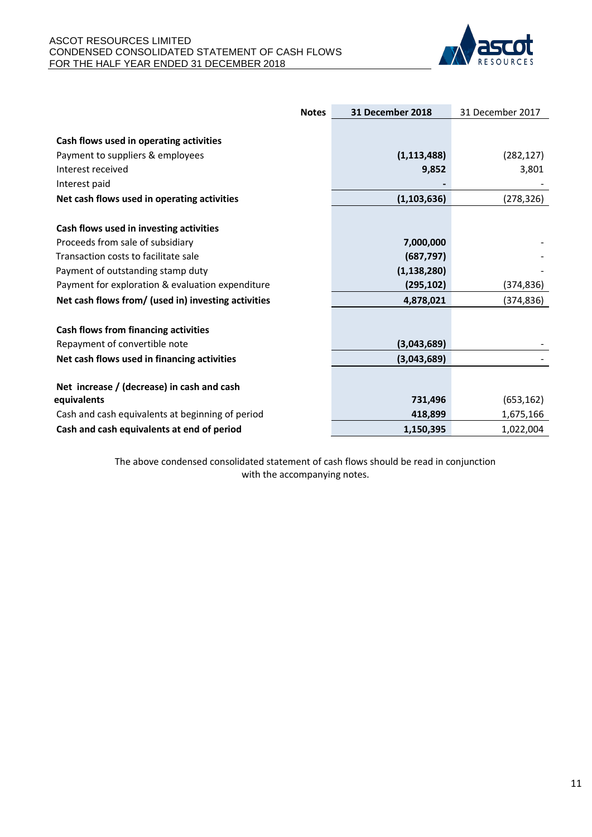

| <b>Notes</b>                                        | 31 December 2018 | 31 December 2017 |
|-----------------------------------------------------|------------------|------------------|
|                                                     |                  |                  |
| Cash flows used in operating activities             |                  |                  |
| Payment to suppliers & employees                    | (1, 113, 488)    | (282, 127)       |
| Interest received                                   | 9,852            | 3,801            |
| Interest paid                                       |                  |                  |
| Net cash flows used in operating activities         | (1, 103, 636)    | (278,326)        |
|                                                     |                  |                  |
| Cash flows used in investing activities             |                  |                  |
| Proceeds from sale of subsidiary                    | 7,000,000        |                  |
| Transaction costs to facilitate sale                | (687, 797)       |                  |
| Payment of outstanding stamp duty                   | (1, 138, 280)    |                  |
| Payment for exploration & evaluation expenditure    | (295, 102)       | (374,836)        |
| Net cash flows from/ (used in) investing activities | 4,878,021        | (374,836)        |
|                                                     |                  |                  |
| Cash flows from financing activities                |                  |                  |
| Repayment of convertible note                       | (3,043,689)      |                  |
| Net cash flows used in financing activities         | (3,043,689)      |                  |
|                                                     |                  |                  |
| Net increase / (decrease) in cash and cash          |                  |                  |
| equivalents                                         | 731,496          | (653, 162)       |
| Cash and cash equivalents at beginning of period    | 418,899          | 1,675,166        |
| Cash and cash equivalents at end of period          | 1,150,395        | 1,022,004        |

The above condensed consolidated statement of cash flows should be read in conjunction with the accompanying notes.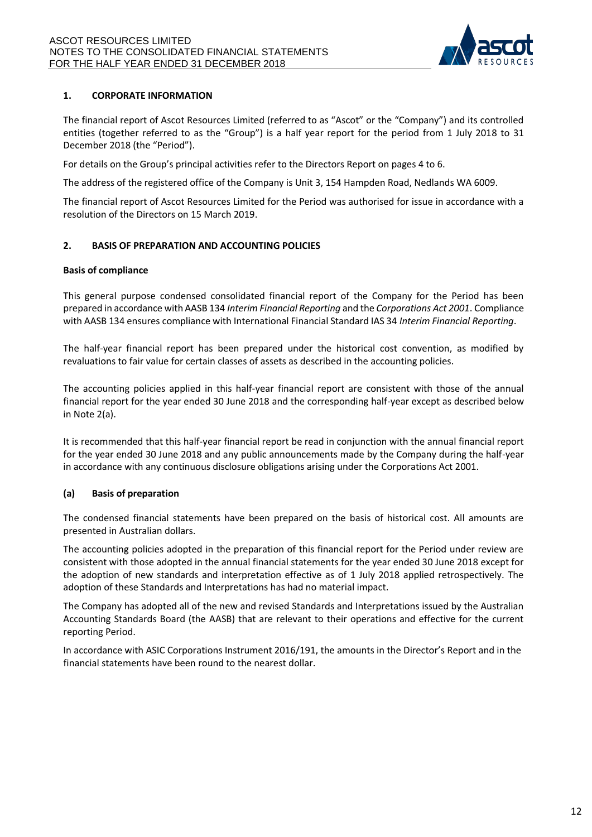

## **1. CORPORATE INFORMATION**

The financial report of Ascot Resources Limited (referred to as "Ascot" or the "Company") and its controlled entities (together referred to as the "Group") is a half year report for the period from 1 July 2018 to 31 December 2018 (the "Period").

For details on the Group's principal activities refer to the Directors Report on pages 4 to 6.

The address of the registered office of the Company is Unit 3, 154 Hampden Road, Nedlands WA 6009.

The financial report of Ascot Resources Limited for the Period was authorised for issue in accordance with a resolution of the Directors on 15 March 2019.

### **2. BASIS OF PREPARATION AND ACCOUNTING POLICIES**

### **Basis of compliance**

This general purpose condensed consolidated financial report of the Company for the Period has been prepared in accordance with AASB 134 *Interim Financial Reporting* and the *Corporations Act 2001*. Compliance with AASB 134 ensures compliance with International Financial Standard IAS 34 *Interim Financial Reporting*.

The half-year financial report has been prepared under the historical cost convention, as modified by revaluations to fair value for certain classes of assets as described in the accounting policies.

The accounting policies applied in this half-year financial report are consistent with those of the annual financial report for the year ended 30 June 2018 and the corresponding half-year except as described below in Note 2(a).

It is recommended that this half-year financial report be read in conjunction with the annual financial report for the year ended 30 June 2018 and any public announcements made by the Company during the half-year in accordance with any continuous disclosure obligations arising under the Corporations Act 2001.

### **(a) Basis of preparation**

The condensed financial statements have been prepared on the basis of historical cost. All amounts are presented in Australian dollars.

The accounting policies adopted in the preparation of this financial report for the Period under review are consistent with those adopted in the annual financial statements for the year ended 30 June 2018 except for the adoption of new standards and interpretation effective as of 1 July 2018 applied retrospectively. The adoption of these Standards and Interpretations has had no material impact.

The Company has adopted all of the new and revised Standards and Interpretations issued by the Australian Accounting Standards Board (the AASB) that are relevant to their operations and effective for the current reporting Period.

In accordance with ASIC Corporations Instrument 2016/191, the amounts in the Director's Report and in the financial statements have been round to the nearest dollar.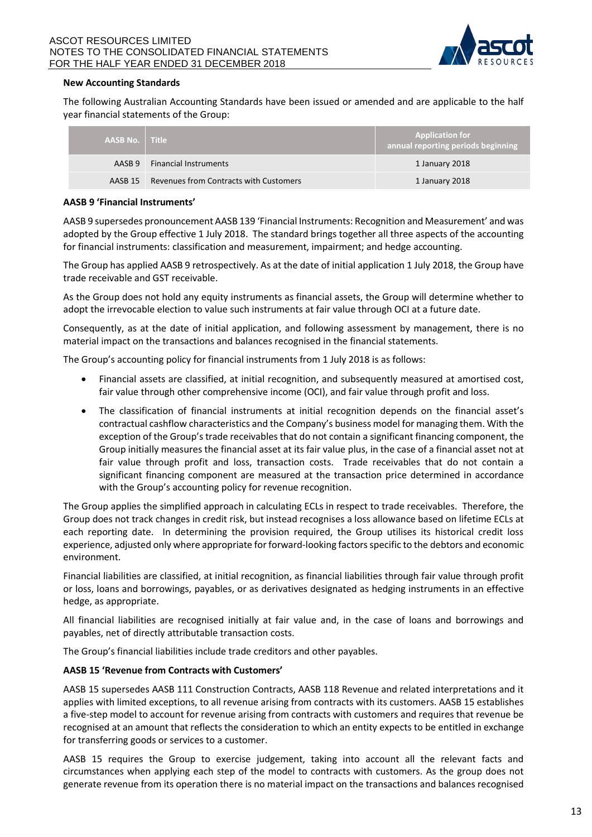

### **New Accounting Standards**

The following Australian Accounting Standards have been issued or amended and are applicable to the half year financial statements of the Group:

| AASB No. Title |                                        | <b>Application for</b><br>annual reporting periods beginning |
|----------------|----------------------------------------|--------------------------------------------------------------|
| AASB 9         | <b>Financial Instruments</b>           | 1 January 2018                                               |
| <b>AASB 15</b> | Revenues from Contracts with Customers | 1 January 2018                                               |

### **AASB 9 'Financial Instruments'**

AASB 9 supersedes pronouncement AASB 139 'Financial Instruments: Recognition and Measurement' and was adopted by the Group effective 1 July 2018. The standard brings together all three aspects of the accounting for financial instruments: classification and measurement, impairment; and hedge accounting.

The Group has applied AASB 9 retrospectively. As at the date of initial application 1 July 2018, the Group have trade receivable and GST receivable.

As the Group does not hold any equity instruments as financial assets, the Group will determine whether to adopt the irrevocable election to value such instruments at fair value through OCI at a future date.

Consequently, as at the date of initial application, and following assessment by management, there is no material impact on the transactions and balances recognised in the financial statements.

The Group's accounting policy for financial instruments from 1 July 2018 is as follows:

- Financial assets are classified, at initial recognition, and subsequently measured at amortised cost, fair value through other comprehensive income (OCI), and fair value through profit and loss.
- The classification of financial instruments at initial recognition depends on the financial asset's contractual cashflow characteristics and the Company's business model for managing them. With the exception of the Group's trade receivables that do not contain a significant financing component, the Group initially measures the financial asset at its fair value plus, in the case of a financial asset not at fair value through profit and loss, transaction costs. Trade receivables that do not contain a significant financing component are measured at the transaction price determined in accordance with the Group's accounting policy for revenue recognition.

The Group applies the simplified approach in calculating ECLs in respect to trade receivables. Therefore, the Group does not track changes in credit risk, but instead recognises a loss allowance based on lifetime ECLs at each reporting date. In determining the provision required, the Group utilises its historical credit loss experience, adjusted only where appropriate for forward-looking factors specific to the debtors and economic environment.

Financial liabilities are classified, at initial recognition, as financial liabilities through fair value through profit or loss, loans and borrowings, payables, or as derivatives designated as hedging instruments in an effective hedge, as appropriate.

All financial liabilities are recognised initially at fair value and, in the case of loans and borrowings and payables, net of directly attributable transaction costs.

The Group's financial liabilities include trade creditors and other payables.

### **AASB 15 'Revenue from Contracts with Customers'**

AASB 15 supersedes AASB 111 Construction Contracts, AASB 118 Revenue and related interpretations and it applies with limited exceptions, to all revenue arising from contracts with its customers. AASB 15 establishes a five-step model to account for revenue arising from contracts with customers and requires that revenue be recognised at an amount that reflects the consideration to which an entity expects to be entitled in exchange for transferring goods or services to a customer.

AASB 15 requires the Group to exercise judgement, taking into account all the relevant facts and circumstances when applying each step of the model to contracts with customers. As the group does not generate revenue from its operation there is no material impact on the transactions and balances recognised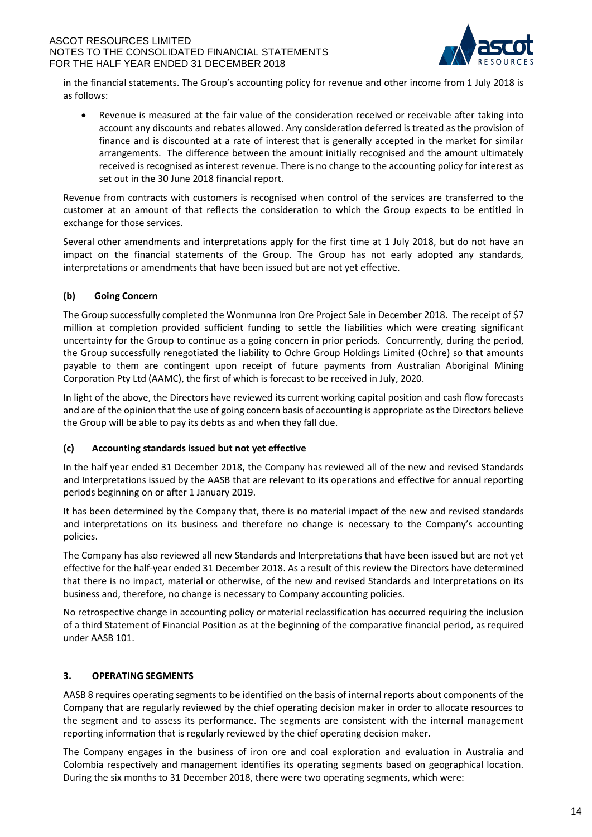

in the financial statements. The Group's accounting policy for revenue and other income from 1 July 2018 is as follows:

• Revenue is measured at the fair value of the consideration received or receivable after taking into account any discounts and rebates allowed. Any consideration deferred is treated as the provision of finance and is discounted at a rate of interest that is generally accepted in the market for similar arrangements. The difference between the amount initially recognised and the amount ultimately received is recognised as interest revenue. There is no change to the accounting policy for interest as set out in the 30 June 2018 financial report.

Revenue from contracts with customers is recognised when control of the services are transferred to the customer at an amount of that reflects the consideration to which the Group expects to be entitled in exchange for those services.

Several other amendments and interpretations apply for the first time at 1 July 2018, but do not have an impact on the financial statements of the Group. The Group has not early adopted any standards, interpretations or amendments that have been issued but are not yet effective.

# **(b) Going Concern**

The Group successfully completed the Wonmunna Iron Ore Project Sale in December 2018. The receipt of \$7 million at completion provided sufficient funding to settle the liabilities which were creating significant uncertainty for the Group to continue as a going concern in prior periods. Concurrently, during the period, the Group successfully renegotiated the liability to Ochre Group Holdings Limited (Ochre) so that amounts payable to them are contingent upon receipt of future payments from Australian Aboriginal Mining Corporation Pty Ltd (AAMC), the first of which is forecast to be received in July, 2020.

In light of the above, the Directors have reviewed its current working capital position and cash flow forecasts and are of the opinion that the use of going concern basis of accounting is appropriate as the Directors believe the Group will be able to pay its debts as and when they fall due.

# **(c) Accounting standards issued but not yet effective**

In the half year ended 31 December 2018, the Company has reviewed all of the new and revised Standards and Interpretations issued by the AASB that are relevant to its operations and effective for annual reporting periods beginning on or after 1 January 2019.

It has been determined by the Company that, there is no material impact of the new and revised standards and interpretations on its business and therefore no change is necessary to the Company's accounting policies.

The Company has also reviewed all new Standards and Interpretations that have been issued but are not yet effective for the half-year ended 31 December 2018. As a result of this review the Directors have determined that there is no impact, material or otherwise, of the new and revised Standards and Interpretations on its business and, therefore, no change is necessary to Company accounting policies.

No retrospective change in accounting policy or material reclassification has occurred requiring the inclusion of a third Statement of Financial Position as at the beginning of the comparative financial period, as required under AASB 101.

# **3. OPERATING SEGMENTS**

AASB 8 requires operating segments to be identified on the basis of internal reports about components of the Company that are regularly reviewed by the chief operating decision maker in order to allocate resources to the segment and to assess its performance. The segments are consistent with the internal management reporting information that is regularly reviewed by the chief operating decision maker.

The Company engages in the business of iron ore and coal exploration and evaluation in Australia and Colombia respectively and management identifies its operating segments based on geographical location. During the six months to 31 December 2018, there were two operating segments, which were: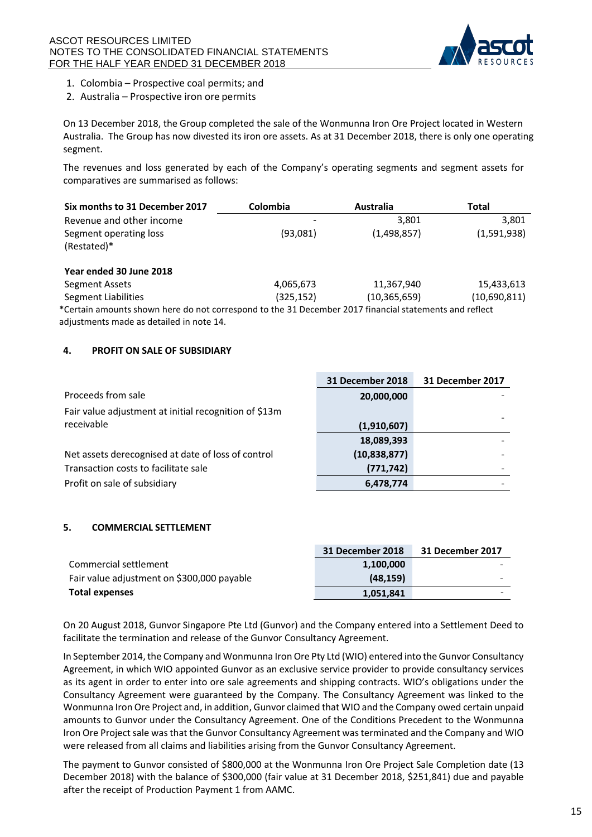

- 1. Colombia Prospective coal permits; and
- 2. Australia Prospective iron ore permits

On 13 December 2018, the Group completed the sale of the Wonmunna Iron Ore Project located in Western Australia. The Group has now divested its iron ore assets. As at 31 December 2018, there is only one operating segment.

The revenues and loss generated by each of the Company's operating segments and segment assets for comparatives are summarised as follows:

| Six months to 31 December 2017                                                                         | Colombia   | <b>Australia</b> | <b>Total</b> |
|--------------------------------------------------------------------------------------------------------|------------|------------------|--------------|
| Revenue and other income                                                                               |            | 3,801            | 3,801        |
| Segment operating loss<br>(Restated)*                                                                  | (93,081)   | (1,498,857)      | (1,591,938)  |
| Year ended 30 June 2018                                                                                |            |                  |              |
| Segment Assets                                                                                         | 4,065,673  | 11,367,940       | 15,433,613   |
| <b>Segment Liabilities</b>                                                                             | (325, 152) | (10, 365, 659)   | (10,690,811) |
| *Certain amounts shown here do not correspond to the 31 December 2017 financial statements and reflect |            |                  |              |

adjustments made as detailed in note 14.

### **4. PROFIT ON SALE OF SUBSIDIARY**

|                                                       | 31 December 2018 | 31 December 2017 |
|-------------------------------------------------------|------------------|------------------|
| Proceeds from sale                                    | 20,000,000       |                  |
| Fair value adjustment at initial recognition of \$13m |                  |                  |
| receivable                                            | (1,910,607)      |                  |
|                                                       | 18,089,393       |                  |
| Net assets derecognised at date of loss of control    | (10, 838, 877)   |                  |
| Transaction costs to facilitate sale                  | (771, 742)       |                  |
| Profit on sale of subsidiary                          | 6,478,774        |                  |

### **5. COMMERCIAL SETTLEMENT**

|                                            | 31 December 2018 | 31 December 2017 |
|--------------------------------------------|------------------|------------------|
| Commercial settlement                      | 1,100,000        |                  |
| Fair value adjustment on \$300,000 payable | (48, 159)        |                  |
| <b>Total expenses</b>                      | 1.051.841        |                  |

On 20 August 2018, Gunvor Singapore Pte Ltd (Gunvor) and the Company entered into a Settlement Deed to facilitate the termination and release of the Gunvor Consultancy Agreement.

In September 2014, the Company and Wonmunna Iron Ore Pty Ltd (WIO) entered into the Gunvor Consultancy Agreement, in which WIO appointed Gunvor as an exclusive service provider to provide consultancy services as its agent in order to enter into ore sale agreements and shipping contracts. WIO's obligations under the Consultancy Agreement were guaranteed by the Company. The Consultancy Agreement was linked to the Wonmunna Iron Ore Project and, in addition, Gunvor claimed that WIO and the Company owed certain unpaid amounts to Gunvor under the Consultancy Agreement. One of the Conditions Precedent to the Wonmunna Iron Ore Project sale was that the Gunvor Consultancy Agreement was terminated and the Company and WIO were released from all claims and liabilities arising from the Gunvor Consultancy Agreement.

The payment to Gunvor consisted of \$800,000 at the Wonmunna Iron Ore Project Sale Completion date (13 December 2018) with the balance of \$300,000 (fair value at 31 December 2018, \$251,841) due and payable after the receipt of Production Payment 1 from AAMC.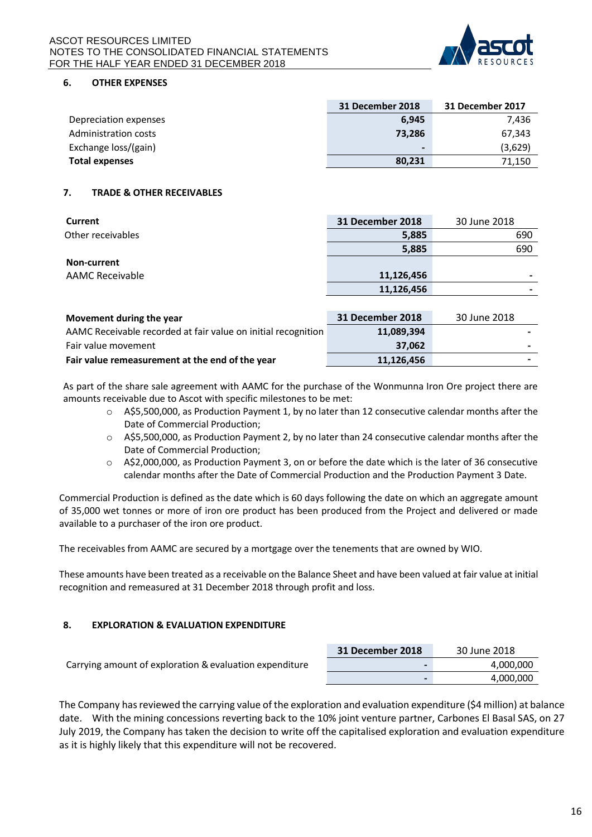#### ASCOT RESOURCES LIMITED NOTES TO THE CONSOLIDATED FINANCIAL STATEMENTS FOR THE HALF YEAR ENDED 31 DECEMBER 2018



## **6. OTHER EXPENSES**

|                       | 31 December 2018         | 31 December 2017 |
|-----------------------|--------------------------|------------------|
| Depreciation expenses | 6.945                    | 7,436            |
| Administration costs  | 73.286                   | 67,343           |
| Exchange loss/(gain)  | $\overline{\phantom{0}}$ | (3,629)          |
| <b>Total expenses</b> | 80,231                   | 71,150           |

## **7. TRADE & OTHER RECEIVABLES**

| <b>Current</b>                                                | 31 December 2018 | 30 June 2018 |
|---------------------------------------------------------------|------------------|--------------|
| Other receivables                                             | 5,885            | 690          |
|                                                               | 5,885            | 690          |
| Non-current                                                   |                  |              |
| <b>AAMC Receivable</b>                                        | 11,126,456       |              |
|                                                               | 11,126,456       |              |
|                                                               |                  |              |
| Movement during the year                                      | 31 December 2018 | 30 June 2018 |
| AAMC Receivable recorded at fair value on initial recognition | 11,089,394       |              |
| Fair value movement                                           | 37,062           |              |

#### **Fair value remeasurement at the end of the year 11,126,456 -**

As part of the share sale agreement with AAMC for the purchase of the Wonmunna Iron Ore project there are amounts receivable due to Ascot with specific milestones to be met:

- $\circ$  A\$5,500,000, as Production Payment 1, by no later than 12 consecutive calendar months after the Date of Commercial Production;
- $\circ$  A\$5,500,000, as Production Payment 2, by no later than 24 consecutive calendar months after the Date of Commercial Production;
- $\circ$  A\$2,000,000, as Production Payment 3, on or before the date which is the later of 36 consecutive calendar months after the Date of Commercial Production and the Production Payment 3 Date.

Commercial Production is defined as the date which is 60 days following the date on which an aggregate amount of 35,000 wet tonnes or more of iron ore product has been produced from the Project and delivered or made available to a purchaser of the iron ore product.

The receivables from AAMC are secured by a mortgage over the tenements that are owned by WIO.

These amounts have been treated as a receivable on the Balance Sheet and have been valued at fair value at initial recognition and remeasured at 31 December 2018 through profit and loss.

### **8. EXPLORATION & EVALUATION EXPENDITURE**

|                                                         | 31 December 2018         | 30 June 2018 |
|---------------------------------------------------------|--------------------------|--------------|
| Carrying amount of exploration & evaluation expenditure | $\overline{\phantom{0}}$ | 4.000.000    |
|                                                         |                          | 4.000.000    |

The Company has reviewed the carrying value of the exploration and evaluation expenditure (\$4 million) at balance date. With the mining concessions reverting back to the 10% joint venture partner, Carbones El Basal SAS, on 27 July 2019, the Company has taken the decision to write off the capitalised exploration and evaluation expenditure as it is highly likely that this expenditure will not be recovered.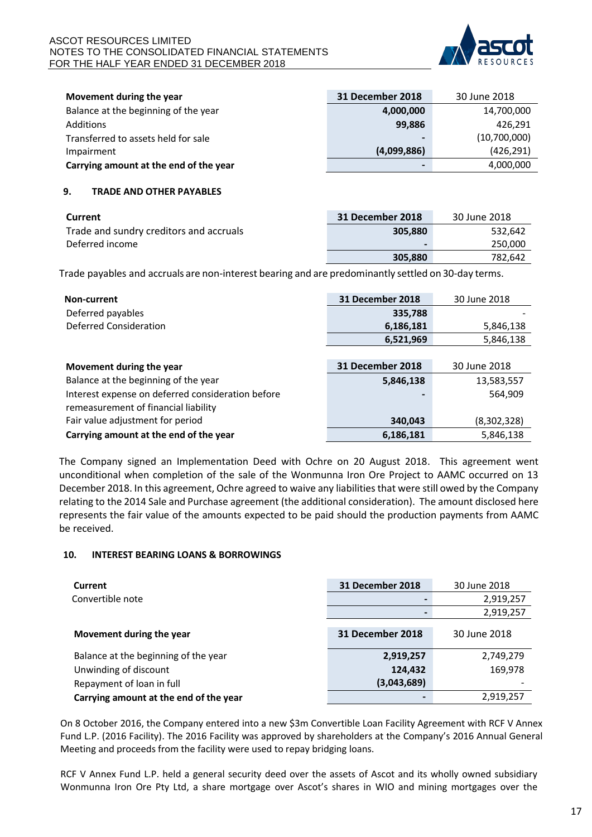

| Movement during the year               | 31 December 2018         | 30 June 2018 |
|----------------------------------------|--------------------------|--------------|
| Balance at the beginning of the year   | 4,000,000                | 14,700,000   |
| Additions                              | 99.886                   | 426.291      |
| Transferred to assets held for sale    | $\overline{\phantom{0}}$ | (10,700,000) |
| Impairment                             | (4,099,886)              | (426, 291)   |
| Carrying amount at the end of the year |                          | 4,000,000    |

### **9. TRADE AND OTHER PAYABLES**

| Current                                 | 31 December 2018 | 30 June 2018 |
|-----------------------------------------|------------------|--------------|
| Trade and sundry creditors and accruals | 305.880          | 532,642      |
| Deferred income                         |                  | 250,000      |
|                                         | 305.880          | 782.642      |

Trade payables and accruals are non-interest bearing and are predominantly settled on 30-day terms.

| Non-current                                       | 31 December 2018 | 30 June 2018 |
|---------------------------------------------------|------------------|--------------|
| Deferred payables                                 | 335,788          |              |
| Deferred Consideration                            | 6,186,181        | 5,846,138    |
|                                                   | 6,521,969        | 5,846,138    |
|                                                   |                  |              |
| Movement during the year                          | 31 December 2018 | 30 June 2018 |
| Balance at the beginning of the year              | 5,846,138        | 13,583,557   |
| Interest expense on deferred consideration before |                  | 564,909      |
| remeasurement of financial liability              |                  |              |
| Fair value adjustment for period                  | 340,043          | (8,302,328)  |
| Carrying amount at the end of the year            | 6,186,181        | 5,846,138    |

The Company signed an Implementation Deed with Ochre on 20 August 2018. This agreement went unconditional when completion of the sale of the Wonmunna Iron Ore Project to AAMC occurred on 13 December 2018. In this agreement, Ochre agreed to waive any liabilities that were still owed by the Company relating to the 2014 Sale and Purchase agreement (the additional consideration). The amount disclosed here represents the fair value of the amounts expected to be paid should the production payments from AAMC be received.

### **10. INTEREST BEARING LOANS & BORROWINGS**

| Current                                | 31 December 2018 | 30 June 2018 |
|----------------------------------------|------------------|--------------|
| Convertible note                       |                  | 2,919,257    |
|                                        |                  | 2,919,257    |
|                                        |                  |              |
| Movement during the year               | 31 December 2018 | 30 June 2018 |
| Balance at the beginning of the year   | 2,919,257        | 2,749,279    |
|                                        |                  |              |
| Unwinding of discount                  | 124,432          | 169,978      |
| Repayment of loan in full              | (3,043,689)      |              |
| Carrying amount at the end of the year |                  | 2,919,257    |

On 8 October 2016, the Company entered into a new \$3m Convertible Loan Facility Agreement with RCF V Annex Fund L.P. (2016 Facility). The 2016 Facility was approved by shareholders at the Company's 2016 Annual General Meeting and proceeds from the facility were used to repay bridging loans.

RCF V Annex Fund L.P. held a general security deed over the assets of Ascot and its wholly owned subsidiary Wonmunna Iron Ore Pty Ltd, a share mortgage over Ascot's shares in WIO and mining mortgages over the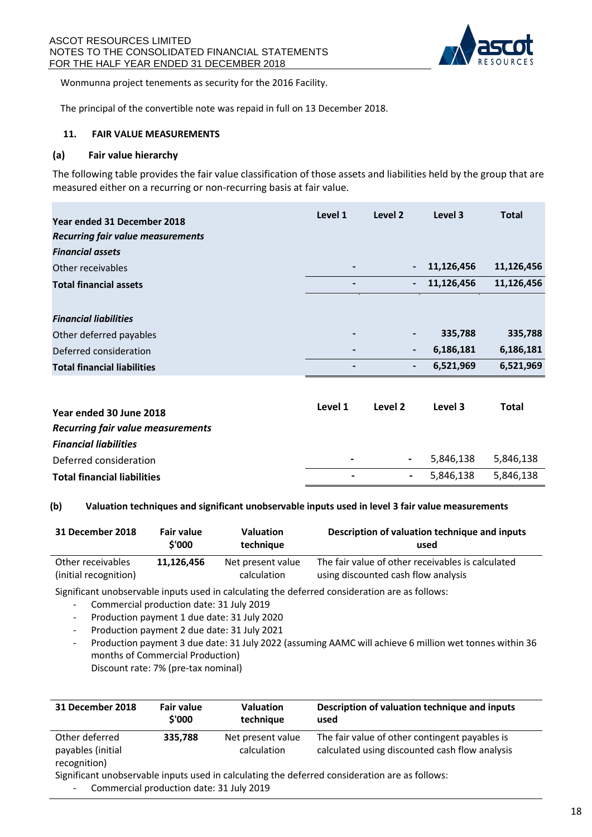

Wonmunna project tenements as security for the 2016 Facility.

The principal of the convertible note was repaid in full on 13 December 2018.

### **11. FAIR VALUE MEASUREMENTS**

### **(a) Fair value hierarchy**

The following table provides the fair value classification of those assets and liabilities held by the group that are measured either on a recurring or non-recurring basis at fair value.

| Year ended 31 December 2018<br><b>Recurring fair value measurements</b> | Level 1 | Level 2                  | Level 3    | <b>Total</b> |
|-------------------------------------------------------------------------|---------|--------------------------|------------|--------------|
| <b>Financial assets</b>                                                 |         |                          |            |              |
| Other receivables                                                       |         |                          | 11,126,456 | 11,126,456   |
| <b>Total financial assets</b>                                           |         |                          | 11,126,456 | 11,126,456   |
| <b>Financial liabilities</b>                                            |         |                          |            |              |
| Other deferred payables                                                 |         |                          | 335,788    | 335,788      |
| Deferred consideration                                                  |         | $\overline{\phantom{a}}$ | 6,186,181  | 6,186,181    |
| <b>Total financial liabilities</b>                                      |         |                          | 6,521,969  | 6,521,969    |
| Year ended 30 June 2018                                                 | Level 1 | Level 2                  | Level 3    | <b>Total</b> |
| <b>Recurring fair value measurements</b>                                |         |                          |            |              |
| <b>Financial liabilities</b>                                            |         |                          |            |              |
| Deferred consideration                                                  |         | -                        | 5,846,138  | 5,846,138    |

### **(b) Valuation techniques and significant unobservable inputs used in level 3 fair value measurements**

| 31 December 2018      | <b>Fair value</b> | <b>Valuation</b>  | Description of valuation technique and inputs     |
|-----------------------|-------------------|-------------------|---------------------------------------------------|
|                       | \$'000            | technique         | used                                              |
| Other receivables     | 11.126.456        | Net present value | The fair value of other receivables is calculated |
| (initial recognition) |                   | calculation       | using discounted cash flow analysis               |

**Total financial liabilities - -** 5,846,138 5,846,138

Significant unobservable inputs used in calculating the deferred consideration are as follows:

- Commercial production date: 31 July 2019
- Production payment 1 due date: 31 July 2020
- Production payment 2 due date: 31 July 2021
- Production payment 3 due date: 31 July 2022 (assuming AAMC will achieve 6 million wet tonnes within 36 months of Commercial Production) Discount rate: 7% (pre-tax nominal)

| 31 December 2018                                    | <b>Fair value</b><br>\$'000 | <b>Valuation</b><br>technique    | Description of valuation technique and inputs<br>used                                            |
|-----------------------------------------------------|-----------------------------|----------------------------------|--------------------------------------------------------------------------------------------------|
| Other deferred<br>payables (initial<br>recognition) | 335.788                     | Net present value<br>calculation | The fair value of other contingent payables is<br>calculated using discounted cash flow analysis |
|                                                     |                             |                                  | Significant unobservable inputs used in calculating the deferred consideration are as follows:   |

<sup>-</sup> Commercial production date: 31 July 2019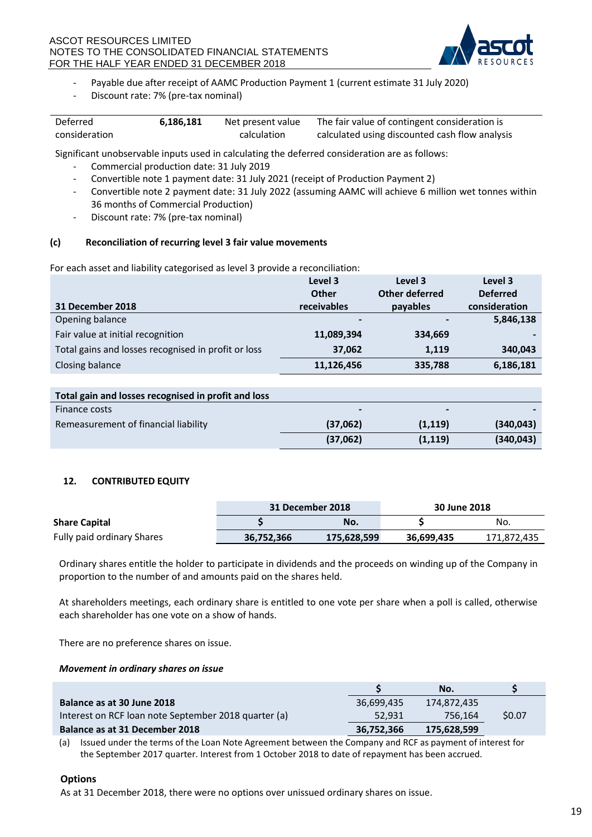

- Payable due after receipt of AAMC Production Payment 1 (current estimate 31 July 2020)
- Discount rate: 7% (pre-tax nominal)

| Deferred      | 6,186,181 | Net present value | The fair value of contingent consideration is  |
|---------------|-----------|-------------------|------------------------------------------------|
| consideration |           | calculation       | calculated using discounted cash flow analysis |

Significant unobservable inputs used in calculating the deferred consideration are as follows:

- Commercial production date: 31 July 2019
- Convertible note 1 payment date: 31 July 2021 (receipt of Production Payment 2)
- Convertible note 2 payment date: 31 July 2022 (assuming AAMC will achieve 6 million wet tonnes within 36 months of Commercial Production)
- Discount rate: 7% (pre-tax nominal)

### **(c) Reconciliation of recurring level 3 fair value movements**

For each asset and liability categorised as level 3 provide a reconciliation:

|                                                     | Level 3     | Level 3        | Level 3         |
|-----------------------------------------------------|-------------|----------------|-----------------|
|                                                     | Other       | Other deferred | <b>Deferred</b> |
| 31 December 2018                                    | receivables | payables       | consideration   |
| Opening balance                                     |             | $\blacksquare$ | 5,846,138       |
| Fair value at initial recognition                   | 11,089,394  | 334,669        |                 |
| Total gains and losses recognised in profit or loss | 37,062      | 1,119          | 340,043         |
| Closing balance                                     | 11,126,456  | 335,788        | 6,186,181       |
|                                                     |             |                |                 |
| Total gain and losses recognised in profit and loss |             |                |                 |

| Finance costs                        | $\overline{\phantom{0}}$ | $\overline{\phantom{a}}$ |            |
|--------------------------------------|--------------------------|--------------------------|------------|
| Remeasurement of financial liability | (37,062)                 | (1, 119)                 | (340, 043) |
|                                      | (37,062)                 | (1, 119)                 | (340, 043) |

# **12. CONTRIBUTED EQUITY**

|                            | 31 December 2018 |             | 30 June 2018 |             |
|----------------------------|------------------|-------------|--------------|-------------|
| <b>Share Capital</b>       |                  | No.         |              | No.         |
| Fully paid ordinary Shares | 36,752,366       | 175,628,599 | 36,699,435   | 171,872,435 |

Ordinary shares entitle the holder to participate in dividends and the proceeds on winding up of the Company in proportion to the number of and amounts paid on the shares held.

At shareholders meetings, each ordinary share is entitled to one vote per share when a poll is called, otherwise each shareholder has one vote on a show of hands.

There are no preference shares on issue.

*Movement in ordinary shares on issue*

|                                                      |            | No.         |              |
|------------------------------------------------------|------------|-------------|--------------|
| Balance as at 30 June 2018                           | 36.699.435 | 174.872.435 |              |
| Interest on RCF loan note September 2018 quarter (a) | 52.931     | 756.164     | <b>SO.07</b> |
| Balance as at 31 December 2018                       | 36.752.366 | 175,628,599 |              |

(a) Issued under the terms of the Loan Note Agreement between the Company and RCF as payment of interest for the September 2017 quarter. Interest from 1 October 2018 to date of repayment has been accrued.

### **Options**

As at 31 December 2018, there were no options over unissued ordinary shares on issue.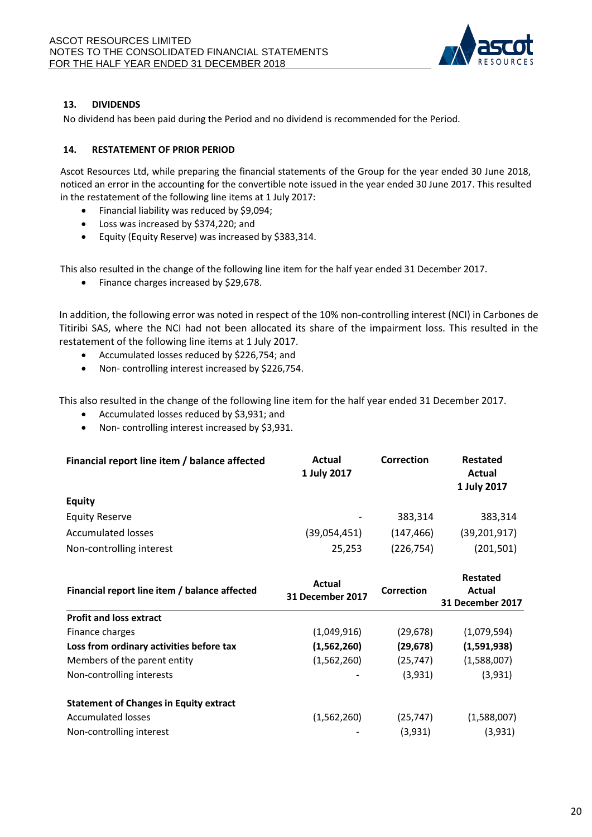

# **13. DIVIDENDS**

No dividend has been paid during the Period and no dividend is recommended for the Period.

## **14. RESTATEMENT OF PRIOR PERIOD**

Ascot Resources Ltd, while preparing the financial statements of the Group for the year ended 30 June 2018, noticed an error in the accounting for the convertible note issued in the year ended 30 June 2017. This resulted in the restatement of the following line items at 1 July 2017:

- Financial liability was reduced by \$9,094;
- Loss was increased by \$374,220; and
- Equity (Equity Reserve) was increased by \$383,314.

This also resulted in the change of the following line item for the half year ended 31 December 2017.

• Finance charges increased by \$29,678.

In addition, the following error was noted in respect of the 10% non-controlling interest (NCI) in Carbones de Titiribi SAS, where the NCI had not been allocated its share of the impairment loss. This resulted in the restatement of the following line items at 1 July 2017.

- Accumulated losses reduced by \$226,754; and
- Non- controlling interest increased by \$226,754.

This also resulted in the change of the following line item for the half year ended 31 December 2017.

- Accumulated losses reduced by \$3,931; and
- Non- controlling interest increased by \$3,931.

| Financial report line item / balance affected | Actual<br>1 July 2017    | Correction | Restated<br><b>Actual</b><br>1 July 2017 |
|-----------------------------------------------|--------------------------|------------|------------------------------------------|
| <b>Equity</b>                                 |                          |            |                                          |
| <b>Equity Reserve</b>                         | $\overline{\phantom{a}}$ | 383,314    | 383,314                                  |
| <b>Accumulated losses</b>                     | (39,054,451)             | (147, 466) | (39, 201, 917)                           |
| Non-controlling interest                      | 25,253                   | (226, 754) | (201, 501)                               |

| Financial report line item / balance affected | <b>Actual</b><br>31 December 2017 | Correction | Restated<br>Actual<br>31 December 2017 |
|-----------------------------------------------|-----------------------------------|------------|----------------------------------------|
| <b>Profit and loss extract</b>                |                                   |            |                                        |
| Finance charges                               | (1,049,916)                       | (29, 678)  | (1,079,594)                            |
| Loss from ordinary activities before tax      | (1,562,260)                       | (29, 678)  | (1,591,938)                            |
| Members of the parent entity                  | (1,562,260)                       | (25, 747)  | (1,588,007)                            |
| Non-controlling interests                     |                                   | (3,931)    | (3,931)                                |
| <b>Statement of Changes in Equity extract</b> |                                   |            |                                        |
| <b>Accumulated losses</b>                     | (1,562,260)                       | (25, 747)  | (1,588,007)                            |
| Non-controlling interest                      |                                   | (3,931)    | (3,931)                                |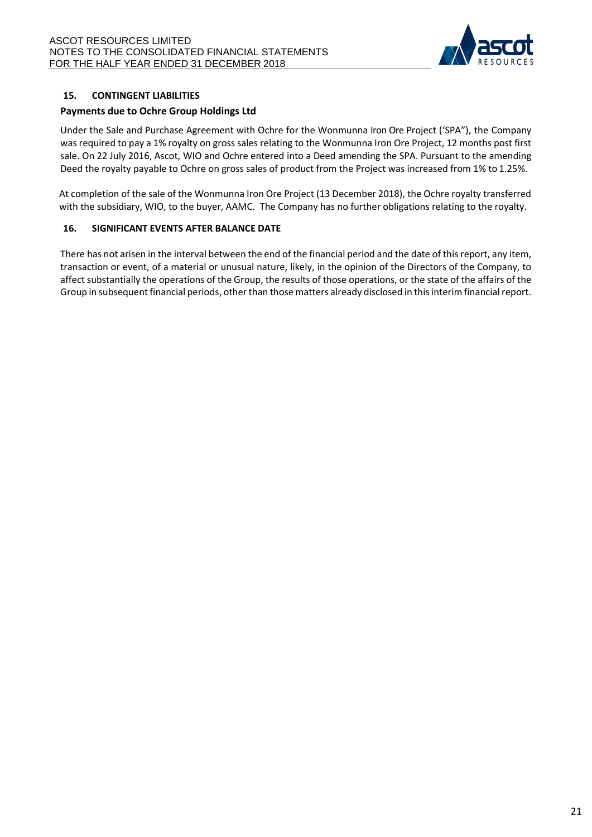

## **15. CONTINGENT LIABILITIES**

### **Payments due to Ochre Group Holdings Ltd**

Under the Sale and Purchase Agreement with Ochre for the Wonmunna Iron Ore Project ('SPA"), the Company was required to pay a 1% royalty on gross sales relating to the Wonmunna Iron Ore Project, 12 months post first sale. On 22 July 2016, Ascot, WIO and Ochre entered into a Deed amending the SPA. Pursuant to the amending Deed the royalty payable to Ochre on gross sales of product from the Project was increased from 1% to 1.25%.

At completion of the sale of the Wonmunna Iron Ore Project (13 December 2018), the Ochre royalty transferred with the subsidiary, WIO, to the buyer, AAMC. The Company has no further obligations relating to the royalty.

#### **16. SIGNIFICANT EVENTS AFTER BALANCE DATE**

There has not arisen in the interval between the end of the financial period and the date of this report, any item, transaction or event, of a material or unusual nature, likely, in the opinion of the Directors of the Company, to affect substantially the operations of the Group, the results of those operations, or the state of the affairs of the Group in subsequent financial periods, other than those matters already disclosed in this interim financial report.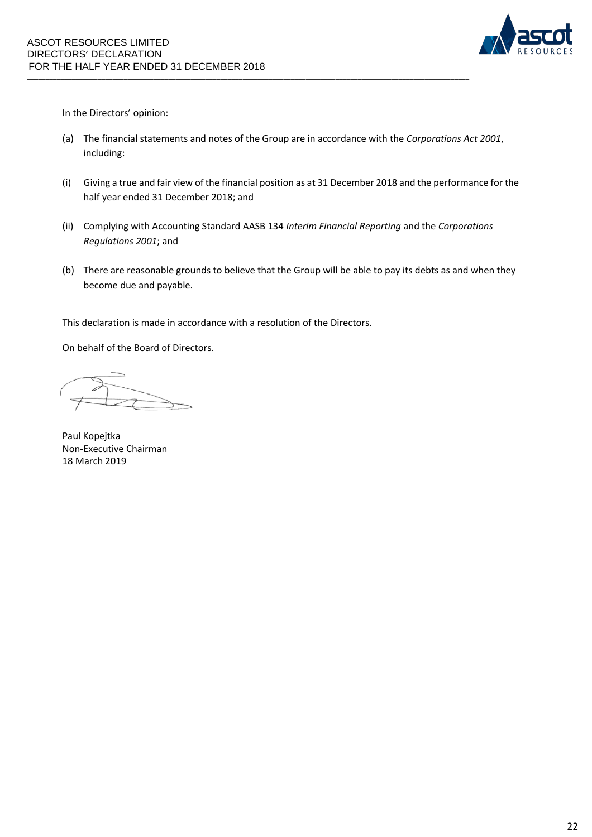

In the Directors' opinion:

(a) The financial statements and notes of the Group are in accordance with the *Corporations Act 2001*, including:

**\_\_\_\_\_\_\_\_\_\_\_\_\_\_\_\_\_\_\_\_\_\_\_\_\_\_\_\_\_\_\_\_\_\_\_\_\_\_\_\_\_\_\_\_\_\_\_\_\_\_\_\_\_\_\_\_\_\_\_\_\_\_\_\_\_\_\_\_\_\_\_\_\_\_\_\_\_\_\_\_\_\_\_\_\_\_\_\_\_\_\_\_\_\_\_\_\_\_\_\_\_\_\_\_\_\_\_\_\_\_\_\_\_\_\_\_\_\_\_**

- (i) Giving a true and fair view of the financial position as at 31 December 2018 and the performance for the half year ended 31 December 2018; and
- (ii) Complying with Accounting Standard AASB 134 *Interim Financial Reporting* and the *Corporations Regulations 2001*; and
- (b) There are reasonable grounds to believe that the Group will be able to pay its debts as and when they become due and payable.

This declaration is made in accordance with a resolution of the Directors.

On behalf of the Board of Directors.

Paul Kopejtka Non-Executive Chairman 18 March 2019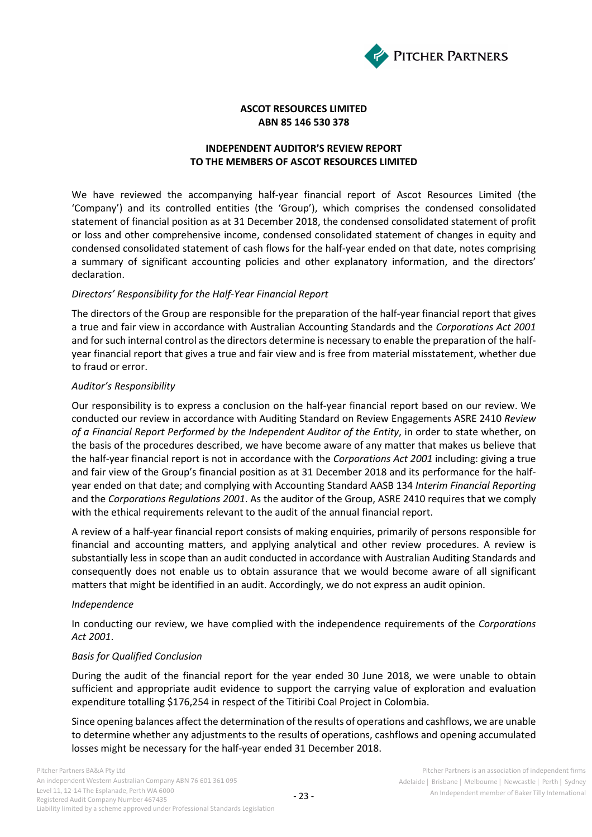

## **ASCOT RESOURCES LIMITED ABN 85 146 530 378**

## **INDEPENDENT AUDITOR'S REVIEW REPORT TO THE MEMBERS OF ASCOT RESOURCES LIMITED**

We have reviewed the accompanying half-year financial report of Ascot Resources Limited (the 'Company') and its controlled entities (the 'Group'), which comprises the condensed consolidated statement of financial position as at 31 December 2018, the condensed consolidated statement of profit or loss and other comprehensive income, condensed consolidated statement of changes in equity and condensed consolidated statement of cash flows for the half-year ended on that date, notes comprising a summary of significant accounting policies and other explanatory information, and the directors' declaration.

## *Directors' Responsibility for the Half-Year Financial Report*

The directors of the Group are responsible for the preparation of the half-year financial report that gives a true and fair view in accordance with Australian Accounting Standards and the *Corporations Act 2001* and for such internal control as the directors determine is necessary to enable the preparation of the halfyear financial report that gives a true and fair view and is free from material misstatement, whether due to fraud or error.

### *Auditor's Responsibility*

Our responsibility is to express a conclusion on the half-year financial report based on our review. We conducted our review in accordance with Auditing Standard on Review Engagements ASRE 2410 *Review of a Financial Report Performed by the Independent Auditor of the Entity*, in order to state whether, on the basis of the procedures described, we have become aware of any matter that makes us believe that the half-year financial report is not in accordance with the *Corporations Act 2001* including: giving a true and fair view of the Group's financial position as at 31 December 2018 and its performance for the halfyear ended on that date; and complying with Accounting Standard AASB 134 *Interim Financial Reporting* and the *Corporations Regulations 2001*. As the auditor of the Group, ASRE 2410 requires that we comply with the ethical requirements relevant to the audit of the annual financial report.

A review of a half-year financial report consists of making enquiries, primarily of persons responsible for financial and accounting matters, and applying analytical and other review procedures. A review is substantially less in scope than an audit conducted in accordance with Australian Auditing Standards and consequently does not enable us to obtain assurance that we would become aware of all significant matters that might be identified in an audit. Accordingly, we do not express an audit opinion.

### *Independence*

In conducting our review, we have complied with the independence requirements of the *Corporations Act 2001*.

### *Basis for Qualified Conclusion*

During the audit of the financial report for the year ended 30 June 2018, we were unable to obtain sufficient and appropriate audit evidence to support the carrying value of exploration and evaluation expenditure totalling \$176,254 in respect of the Titiribi Coal Project in Colombia.

Since opening balances affect the determination of the results of operations and cashflows, we are unable to determine whether any adjustments to the results of operations, cashflows and opening accumulated losses might be necessary for the half-year ended 31 December 2018.